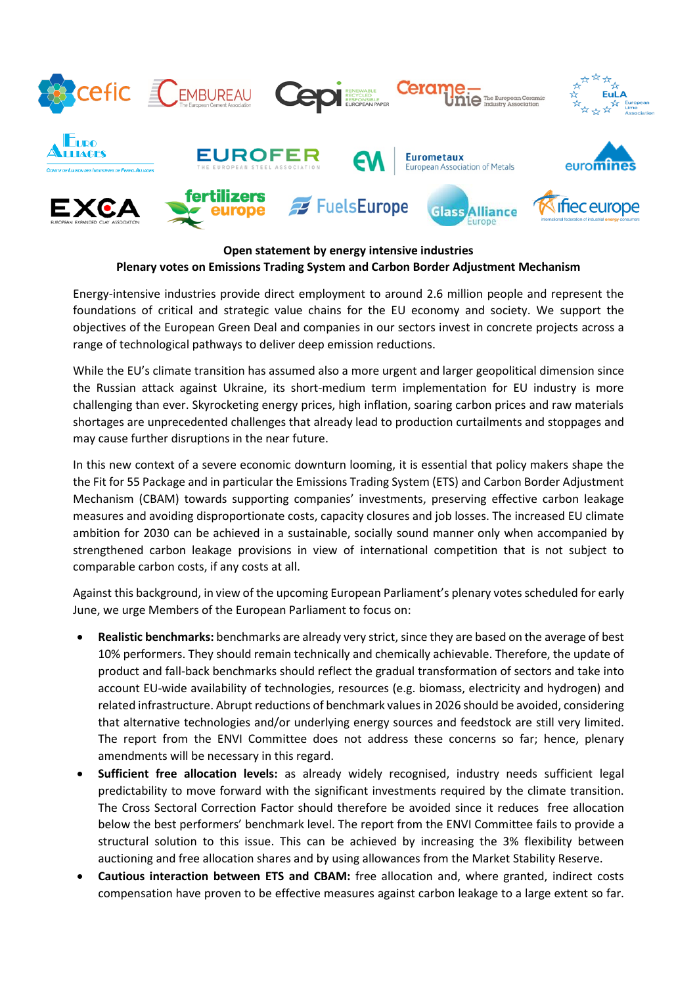

## **Open statement by energy intensive industries Plenary votes on Emissions Trading System and Carbon Border Adjustment Mechanism**

Energy-intensive industries provide direct employment to around 2.6 million people and represent the foundations of critical and strategic value chains for the EU economy and society. We support the objectives of the European Green Deal and companies in our sectors invest in concrete projects across a range of technological pathways to deliver deep emission reductions.

While the EU's climate transition has assumed also a more urgent and larger geopolitical dimension since the Russian attack against Ukraine, its short-medium term implementation for EU industry is more challenging than ever. Skyrocketing energy prices, high inflation, soaring carbon prices and raw materials shortages are unprecedented challenges that already lead to production curtailments and stoppages and may cause further disruptions in the near future.

In this new context of a severe economic downturn looming, it is essential that policy makers shape the the Fit for 55 Package and in particular the Emissions Trading System (ETS) and Carbon Border Adjustment Mechanism (CBAM) towards supporting companies' investments, preserving effective carbon leakage measures and avoiding disproportionate costs, capacity closures and job losses. The increased EU climate ambition for 2030 can be achieved in a sustainable, socially sound manner only when accompanied by strengthened carbon leakage provisions in view of international competition that is not subject to comparable carbon costs, if any costs at all.

Against this background, in view of the upcoming European Parliament's plenary votes scheduled for early June, we urge Members of the European Parliament to focus on:

- **Realistic benchmarks:** benchmarks are already very strict, since they are based on the average of best 10% performers. They should remain technically and chemically achievable. Therefore, the update of product and fall-back benchmarks should reflect the gradual transformation of sectors and take into account EU-wide availability of technologies, resources (e.g. biomass, electricity and hydrogen) and related infrastructure. Abrupt reductions of benchmark values in 2026 should be avoided, considering that alternative technologies and/or underlying energy sources and feedstock are still very limited. The report from the ENVI Committee does not address these concerns so far; hence, plenary amendments will be necessary in this regard.
- **Sufficient free allocation levels:** as already widely recognised, industry needs sufficient legal predictability to move forward with the significant investments required by the climate transition. The Cross Sectoral Correction Factor should therefore be avoided since it reduces free allocation below the best performers' benchmark level. The report from the ENVI Committee fails to provide a structural solution to this issue. This can be achieved by increasing the 3% flexibility between auctioning and free allocation shares and by using allowances from the Market Stability Reserve.
- **Cautious interaction between ETS and CBAM:** free allocation and, where granted, indirect costs compensation have proven to be effective measures against carbon leakage to a large extent so far.